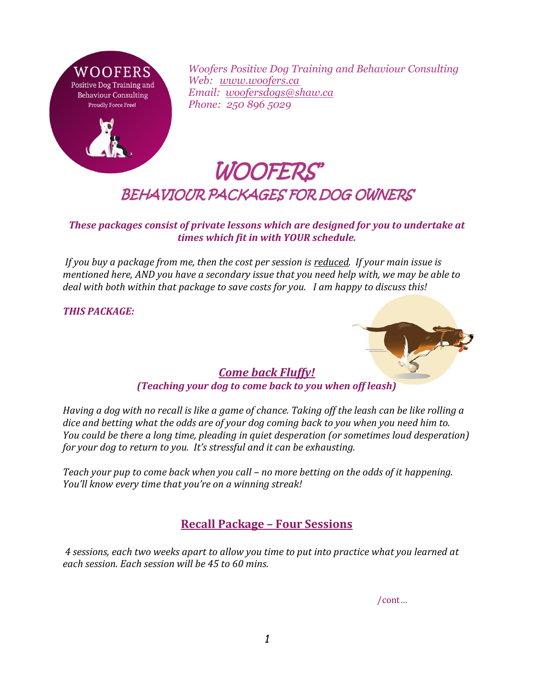

*Woofers Positive Dog Training and Behaviour Consulting Web: [www.woofers.ca](http://www.woofers.ca/) Email: [woofersdogs@shaw.ca](mailto:woofersdogs@shaw.ca) Phone: 250 896 5029*

## WOOFERS' BEHAVIOUR PACKAGES FOR DOG OWNERS

*These packages consist of private lessons which are designed for you to undertake at times which fit in with YOUR schedule.*

*If you buy a package from me, then the cost per session is reduced. If your main issue is mentioned here, AND you have a secondary issue that you need help with, we may be able to deal with both within that package to save costs for you. I am happy to discuss this!* 

*THIS PACKAGE:*



## *Come back Fluffy! (Teaching your dog to come back to you when off leash)*

*Having a dog with no recall is like a game of chance. Taking off the leash can be like rolling a dice and betting what the odds are of your dog coming back to you when you need him to. You could be there a long time, pleading in quiet desperation (or sometimes loud desperation) for your dog to return to you. It's stressful and it can be exhausting.* 

*Teach your pup to come back when you call – no more betting on the odds of it happening. You'll know every time that you're on a winning streak!*

## **Recall Package – Four Sessions**

*4 sessions, each two weeks apart to allow you time to put into practice what you learned at each session. Each session will be 45 to 60 mins.* 

/cont…